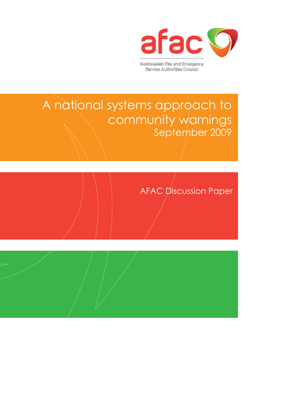

A national systems approach to community warnings September 2009

AFAC *p*iscussion Paper

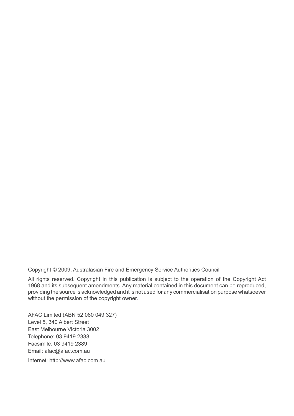Copyright © 2009, Australasian Fire and Emergency Service Authorities Council

All rights reserved. Copyright in this publication is subject to the operation of the Copyright Act 1968 and its subsequent amendments. Any material contained in this document can be reproduced, providing the source is acknowledged and it is not used for any commercialisation purpose whatsoever without the permission of the copyright owner.

AFAC Limited (ABN 52 060 049 327) Level 5, 340 Albert Street East Melbourne Victoria 3002 Telephone: 03 9419 2388 Facsimile: 03 9419 2389 Email: afac@afac.com.au Internet: http://www.afac.com.au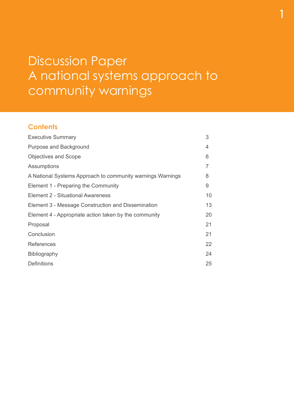# Discussion Paper A national systems approach to community warnings

1

### **Contents**

| 3  |
|----|
| 4  |
| 6  |
| 7  |
| 8  |
| 9  |
| 10 |
| 13 |
| 20 |
| 21 |
| 21 |
| 22 |
| 24 |
| 25 |
|    |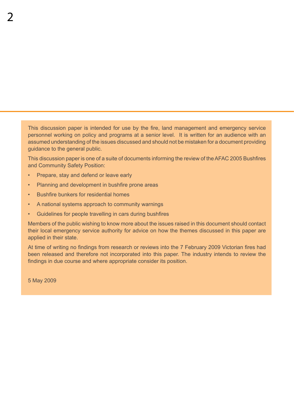This discussion paper is intended for use by the fire, land management and emergency service personnel working on policy and programs at a senior level. It is written for an audience with an assumed understanding of the issues discussed and should not be mistaken for a document providing guidance to the general public.

This discussion paper is one of a suite of documents informing the review of theAFAC 2005 Bushfires and Community Safety Position:

- • Prepare, stay and defend or leave early
- Planning and development in bushfire prone areas
- • Bushfire bunkers for residential homes
- • A national systems approach to community warnings
- • Guidelines for people travelling in cars during bushfires

Members of the public wishing to know more about the issues raised in this document should contact their local emergency service authority for advice on how the themes discussed in this paper are applied in their state.

At time of writing no findings from research or reviews into the 7 February 2009 Victorian fires had been released and therefore not incorporated into this paper. The industry intends to review the findings in due course and where appropriate consider its position.

5 May 2009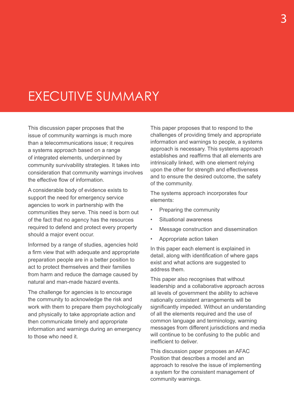# Executive Summary

This discussion paper proposes that the issue of community warnings is much more than a telecommunications issue; it requires a systems approach based on a range of integrated elements, underpinned by community survivability strategies. It takes into consideration that community warnings involves the effective flow of information.

A considerable body of evidence exists to support the need for emergency service agencies to work in partnership with the communities they serve. This need is born out of the fact that no agency has the resources required to defend and protect every property should a major event occur.

Informed by a range of studies, agencies hold a firm view that with adequate and appropriate preparation people are in a better position to act to protect themselves and their families from harm and reduce the damage caused by natural and man-made hazard events.

The challenge for agencies is to encourage the community to acknowledge the risk and work with them to prepare them psychologically and physically to take appropriate action and then communicate timely and appropriate information and warnings during an emergency to those who need it.

This paper proposes that to respond to the challenges of providing timely and appropriate information and warnings to people, a systems approach is necessary. This systems approach establishes and reaffirms that all elements are intrinsically linked, with one element relying upon the other for strength and effectiveness and to ensure the desired outcome, the safety of the community.

The systems approach incorporates four elements:

- Preparing the community
- • Situational awareness
- Message construction and dissemination
- Appropriate action taken

In this paper each element is explained in detail, along with identification of where gaps exist and what actions are suggested to address them.

This paper also recognises that without leadership and a collaborative approach across all levels of government the ability to achieve nationally consistent arrangements will be significantly impeded. Without an understanding of all the elements required and the use of common language and terminology, warning messages from different jurisdictions and media will continue to be confusing to the public and inefficient to deliver.

This discussion paper proposes an AFAC Position that describes a model and an approach to resolve the issue of implementing a system for the consistent management of community warnings.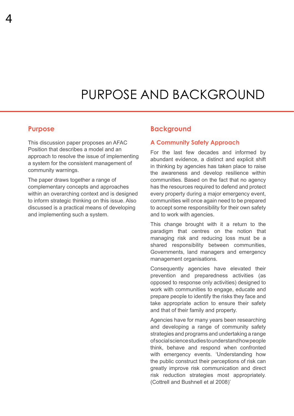## Purpose AND Background

### **Purpose**

This discussion paper proposes an AFAC Position that describes a model and an approach to resolve the issue of implementing a system for the consistent management of community warnings.

The paper draws together a range of complementary concepts and approaches within an overarching context and is designed to inform strategic thinking on this issue. Also discussed is a practical means of developing and implementing such a system.

### **Background**

#### **A Community Safety Approach**

For the last few decades and informed by abundant evidence, a distinct and explicit shift in thinking by agencies has taken place to raise the awareness and develop resilience within communities. Based on the fact that no agency has the resources required to defend and protect every property during a major emergency event, communities will once again need to be prepared to accept some responsibility for their own safety and to work with agencies.

This change brought with it a return to the paradigm that centres on the notion that managing risk and reducing loss must be a shared responsibility between communities, Governments, land managers and emergency management organisations.

Consequently agencies have elevated their prevention and preparedness activities (as opposed to response only activities) designed to work with communities to engage, educate and prepare people to identify the risks they face and take appropriate action to ensure their safety and that of their family and property.

Agencies have for many years been researching and developing a range of community safety strategies and programs and undertaking a range of social science studies to understand how people think, behave and respond when confronted with emergency events. 'Understanding how the public construct their perceptions of risk can greatly improve risk communication and direct risk reduction strategies most appropriately. (Cottrell and Bushnell et al 2008)'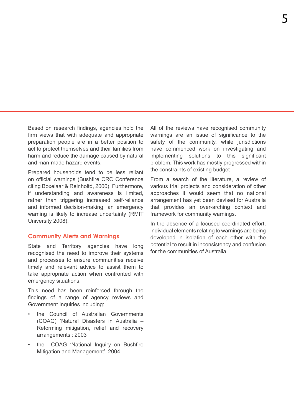Based on research findings, agencies hold the firm views that with adequate and appropriate preparation people are in a better position to act to protect themselves and their families from harm and reduce the damage caused by natural and man-made hazard events.

Prepared households tend to be less reliant on official warnings (Bushfire CRC Conference citing Boxelaar & Reinholtd, 2000). Furthermore, if understanding and awareness is limited, rather than triggering increased self-reliance and informed decision-making, an emergency warning is likely to increase uncertainty (RMIT University 2008).

#### **Community Alerts and Warnings**

State and Territory agencies have long recognised the need to improve their systems and processes to ensure communities receive timely and relevant advice to assist them to take appropriate action when confronted with emergency situations.

This need has been reinforced through the findings of a range of agency reviews and Government Inquiries including:

- the Council of Australian Governments (COAG) 'Natural Disasters in Australia – Reforming mitigation, relief and recovery arrangements'; 2003
- the COAG 'National Inquiry on Bushfire Mitigation and Management', 2004

All of the reviews have recognised community warnings are an issue of significance to the safety of the community, while jurisdictions have commenced work on investigating and implementing solutions to this significant problem. This work has mostly progressed within the constraints of existing budget

From a search of the literature, a review of various trial projects and consideration of other approaches it would seem that no national arrangement has yet been devised for Australia that provides an over-arching context and framework for community warnings.

In the absence of a focused coordinated effort. individual elements relating to warnings are being developed in isolation of each other with the potential to result in inconsistency and confusion for the communities of Australia.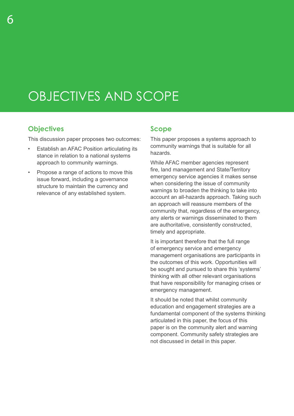# Objectives and scope

### **Objectives**

This discussion paper proposes two outcomes:

- **Establish an AFAC Position articulating its** stance in relation to a national systems approach to community warnings.
- Propose a range of actions to move this issue forward, including a governance structure to maintain the currency and relevance of any established system.

### **Scope**

This paper proposes a systems approach to community warnings that is suitable for all hazards.

While AFAC member agencies represent fire, land management and State/Territory emergency service agencies it makes sense when considering the issue of community warnings to broaden the thinking to take into account an all-hazards approach. Taking such an approach will reassure members of the community that, regardless of the emergency, any alerts or warnings disseminated to them are authoritative, consistently constructed, timely and appropriate.

It is important therefore that the full range of emergency service and emergency management organisations are participants in the outcomes of this work. Opportunities will be sought and pursued to share this 'systems' thinking with all other relevant organisations that have responsibility for managing crises or emergency management.

It should be noted that whilst community education and engagement strategies are a fundamental component of the systems thinking articulated in this paper, the focus of this paper is on the community alert and warning component. Community safety strategies are not discussed in detail in this paper.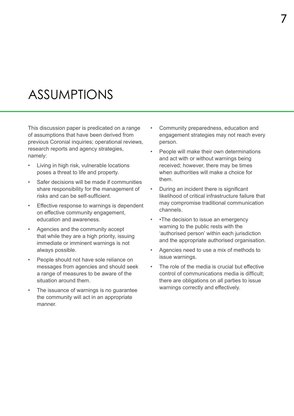## **ASSUMPTIONS**

This discussion paper is predicated on a range of assumptions that have been derived from previous Coronial inquiries; operational reviews, research reports and agency strategies, namely:

- Living in high risk, vulnerable locations poses a threat to life and property.
- Safer decisions will be made if communities share responsibility for the management of risks and can be self-sufficient.
- Effective response to warnings is dependent on effective community engagement, education and awareness.
- Agencies and the community accept that while they are a high priority, issuing immediate or imminent warnings is not always possible.
- People should not have sole reliance on messages from agencies and should seek a range of measures to be aware of the situation around them.
- The issuance of warnings is no guarantee the community will act in an appropriate manner.
- Community preparedness, education and engagement strategies may not reach every person.
- People will make their own determinations and act with or without warnings being received; however, there may be times when authorities will make a choice for them.
- During an incident there is significant likelihood of critical infrastructure failure that may compromise traditional communication channels.
- • The decision to issue an emergency warning to the public rests with the 'authorised person' within each jurisdiction and the appropriate authorised organisation.
- Agencies need to use a mix of methods to issue warnings.
- The role of the media is crucial but effective control of communications media is difficult; there are obligations on all parties to issue warnings correctly and effectively.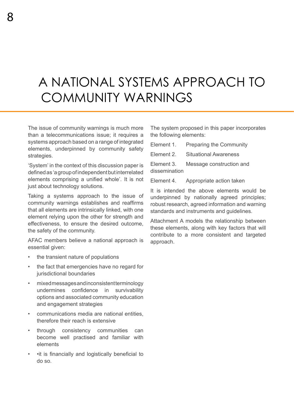# A National Systems Approach to COMMUNITY WARNINGS

The issue of community warnings is much more than a telecommunications issue; it requires a systems approach based on a range of integrated elements, underpinned by community safety strategies.

'System' in the context of this discussion paper is definedas'agroupofindependentbutinterrelated elements comprising a unified whole'. It is not just about technology solutions.

Taking a systems approach to the issue of community warnings establishes and reaffirms that all elements are intrinsically linked, with one element relying upon the other for strength and effectiveness, to ensure the desired outcome, the safety of the community.

AFAC members believe a national approach is essential given:

- the transient nature of populations
- the fact that emergencies have no regard for jurisdictional boundaries
- mixed messages and inconsistent terminology undermines confidence in survivability options and associated community education and engagement strategies
- • communications media are national entities, therefore their reach is extensive
- • through consistency communities can become well practised and familiar with elements
- •it is financially and logistically beneficial to do so.

The system proposed in this paper incorporates the following elements:

Element 1. Preparing the Community

Element 2. Situational Awareness

Element 3. Message construction and dissemination

Element 4. Appropriate action taken

It is intended the above elements would be underpinned by nationally agreed principles; robust research, agreed information and warning standards and instruments and guidelines.

Attachment A models the relationship between these elements, along with key factors that will contribute to a more consistent and targeted approach.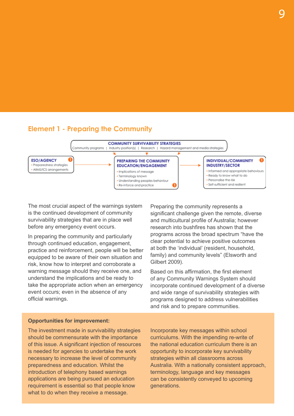



The most crucial aspect of the warnings system is the continued development of community survivability strategies that are in place well before any emergency event occurs.

In preparing the community and particularly through continued education, engagement, practice and reinforcement, people will be better equipped to be aware of their own situation and risk, know how to interpret and corroborate a warning message should they receive one, and understand the implications and be ready to take the appropriate action when an emergency event occurs; even in the absence of any official warnings.

Preparing the community represents a significant challenge given the remote, diverse and multicultural profile of Australia; however research into bushfires has shown that the programs across the broad spectrum "have the clear potential to achieve positive outcomes at both the 'individual' (resident, household, family) and community levels" (Elsworth and Gilbert 2009).

Based on this affirmation, the first element of any Community Warnings System should incorporate continued development of a diverse and wide range of survivability strategies with programs designed to address vulnerabilities and risk and to prepare communities.

#### **Opportunities for improvement:**

The investment made in survivability strategies should be commensurate with the importance of this issue. A significant injection of resources is needed for agencies to undertake the work necessary to increase the level of community preparedness and education. Whilst the introduction of telephony based warnings applications are being pursued an education requirement is essential so that people know what to do when they receive a message.

Incorporate key messages within school curriculums. With the impending re-write of the national education curriculum there is an opportunity to incorporate key survivability strategies within all classrooms across Australia. With a nationally consistent approach, terminology, language and key messages can be consistently conveyed to upcoming generations.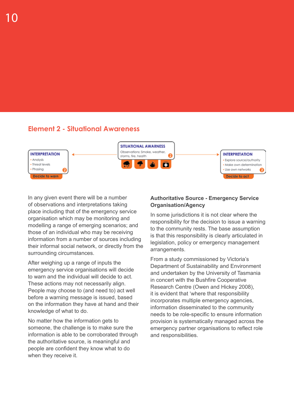### **Element 2 - Situational Awareness**



In any given event there will be a number of observations and interpretations taking place including that of the emergency service organisation which may be monitoring and modelling a range of emerging scenarios; and those of an individual who may be receiving information from a number of sources including their informal social network, or directly from the surrounding circumstances.

After weighing up a range of inputs the emergency service organisations will decide to warn and the individual will decide to act. These actions may not necessarily align. People may choose to (and need to) act well before a warning message is issued, based on the information they have at hand and their knowledge of what to do.

No matter how the information gets to someone, the challenge is to make sure the information is able to be corroborated through the authoritative source, is meaningful and people are confident they know what to do when they receive it.

### **Authoritative Source - Emergency Service Organisation/Agency**

In some jurisdictions it is not clear where the responsibility for the decision to issue a warning to the community rests. The base assumption is that this responsibility is clearly articulated in legislation, policy or emergency management arrangements.

From a study commissioned by Victoria's Department of Sustainability and Environment and undertaken by the University of Tasmania in concert with the Bushfire Cooperative Research Centre (Owen and Hickey 2008), it is evident that 'where that responsibility incorporates multiple emergency agencies, information disseminated to the community needs to be role-specific to ensure information provision is systematically managed across the emergency partner organisations to reflect role and responsibilities.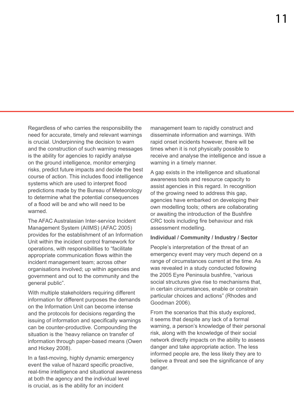Regardless of who carries the responsibility the need for accurate, timely and relevant warnings is crucial. Underpinning the decision to warn and the construction of such warning messages is the ability for agencies to rapidly analyse on the ground intelligence, monitor emerging risks, predict future impacts and decide the best course of action. This includes flood intelligence systems which are used to interpret flood predictions made by the Bureau of Meteorology to determine what the potential consequences of a flood will be and who will need to be warned.

The AFAC Australasian Inter-service Incident Management System (AIIMS) (AFAC 2005) provides for the establishment of an Information Unit within the incident control framework for operations, with responsibilities to "facilitate appropriate communication flows within the incident management team; across other organisations involved; up within agencies and government and out to the community and the general public".

With multiple stakeholders requiring different information for different purposes the demands on the Information Unit can become intense and the protocols for decisions regarding the issuing of information and specifically warnings can be counter-productive. Compounding the situation is the 'heavy reliance on transfer of information through paper-based means (Owen and Hickey 2008).

In a fast-moving, highly dynamic emergency event the value of hazard specific proactive, real-time intelligence and situational awareness at both the agency and the individual level is crucial, as is the ability for an incident

management team to rapidly construct and disseminate information and warnings. With rapid onset incidents however, there will be times when it is not physically possible to receive and analyse the intelligence and issue a warning in a timely manner.

A gap exists in the intelligence and situational awareness tools and resource capacity to assist agencies in this regard. In recognition of the growing need to address this gap, agencies have embarked on developing their own modelling tools; others are collaborating or awaiting the introduction of the Bushfire CRC tools including fire behaviour and risk assessment modelling.

#### **Individual / Community / Industry / Sector**

People's interpretation of the threat of an emergency event may very much depend on a range of circumstances current at the time. As was revealed in a study conducted following the 2005 Eyre Peninsula bushfire, "various social structures give rise to mechanisms that, in certain circumstances, enable or constrain particular choices and actions" (Rhodes and Goodman 2006).

From the scenarios that this study explored, it seems that despite any lack of a formal warning, a person's knowledge of their personal risk, along with the knowledge of their social network directly impacts on the ability to assess danger and take appropriate action. The less informed people are, the less likely they are to believe a threat and see the significance of any danger.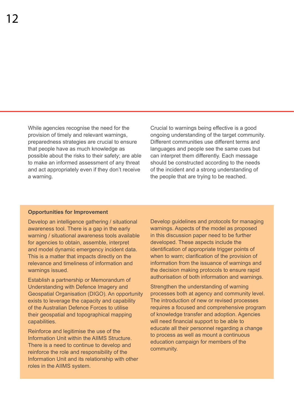While agencies recognise the need for the provision of timely and relevant warnings, preparedness strategies are crucial to ensure that people have as much knowledge as possible about the risks to their safety; are able to make an informed assessment of any threat and act appropriately even if they don't receive a warning.

Crucial to warnings being effective is a good ongoing understanding of the target community. Different communities use different terms and languages and people see the same cues but can interpret them differently. Each message should be constructed according to the needs of the incident and a strong understanding of the people that are trying to be reached.

#### **Opportunities for Improvement**

Develop an intelligence gathering / situational awareness tool. There is a gap in the early warning / situational awareness tools available for agencies to obtain, assemble, interpret and model dynamic emergency incident data. This is a matter that impacts directly on the relevance and timeliness of information and warnings issued.

Establish a partnership or Memorandum of Understanding with Defence Imagery and Geospatial Organisation (DIGO). An opportunity exists to leverage the capacity and capability of the Australian Defence Forces to utilise their geospatial and topographical mapping capabilities.

Reinforce and legitimise the use of the Information Unit within the AIIMS Structure. There is a need to continue to develop and reinforce the role and responsibility of the Information Unit and its relationship with other roles in the AIIMS system.

Develop guidelines and protocols for managing warnings. Aspects of the model as proposed in this discussion paper need to be further developed. These aspects include the identification of appropriate trigger points of when to warn; clarification of the provision of information from the issuance of warnings and the decision making protocols to ensure rapid authorisation of both information and warnings.

Strengthen the understanding of warning processes both at agency and community level. The introduction of new or revised processes requires a focused and comprehensive program of knowledge transfer and adoption. Agencies will need financial support to be able to educate all their personnel regarding a change to process as well as mount a continuous education campaign for members of the community.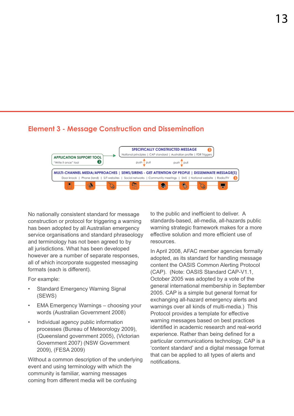### **Element 3 - Message Construction and Dissemination**



No nationally consistent standard for message construction or protocol for triggering a warning has been adopted by all Australian emergency service organisations and standard phraseology and terminology has not been agreed to by all jurisdictions. What has been developed however are a number of separate responses, all of which incorporate suggested messaging formats (each is different).

For example:

- **Standard Emergency Warning Signal** (SEWS)
- **EMA Emergency Warnings choosing your** words (Australian Government 2008)
- Individual agency public information processes (Bureau of Meteorology 2009), (Queensland government 2005), (Victorian Government 2007) (NSW Government 2009), (FESA 2009)

Without a common description of the underlying event and using terminology with which the community is familiar, warning messages coming from different media will be confusing

to the public and inefficient to deliver. A standards-based, all-media, all-hazards public warning strategic framework makes for a more effective solution and more efficient use of resources.

In April 2008, AFAC member agencies formally adopted, as its standard for handling message content the OASIS Common Alerting Protocol (CAP). (Note: OASIS Standard CAP-V1.1, October 2005 was adopted by a vote of the general international membership in September 2005. CAP is a simple but general format for exchanging all-hazard emergency alerts and warnings over all kinds of multi-media.) This Protocol provides a template for effective warning messages based on best practices identified in academic research and real-world experience. Rather than being defined for a particular communications technology, CAP is a 'content standard' and a digital message format that can be applied to all types of alerts and notifications.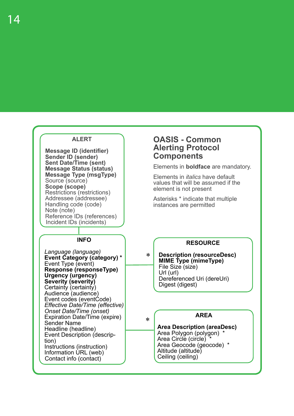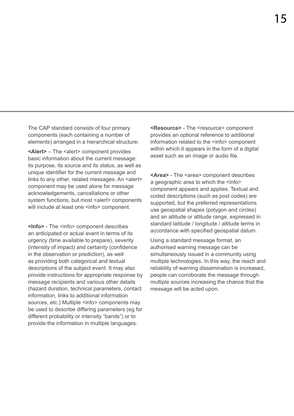The CAP standard consists of four primary components (each containing a number of elements) arranged in a hierarchical structure:

**<Alert>** – The <alert> component provides basic information about the current message: its purpose, its source and its status, as well as unique identifier for the current message and links to any other, related messages. An <alert> component may be used alone for message acknowledgements, cancellations or other system functions, but most <alert> components will include at least one <info> component.

**<Info>** - The <info> component describes an anticipated or actual event in terms of its urgency (time available to prepare), severity (intensity of impact) and certainty (confidence in the observation or prediction), as well as providing both categorical and textual descriptions of the subject event. It may also provide instructions for appropriate response by message recipients and various other details (hazard duration, technical parameters, contact information, links to additional information sources, etc.) Multiple <info> components may be used to describe differing parameters (eg for different probability or intensity "bands") or to provide the information in multiple languages.

**<Resource>** - The <resource> component provides an optional reference to additional information related to the <info> component within which it appears in the form of a digital asset such as an image or audio file.

**<Area>** - The <area> component describes a geographic area to which the  $\leq$ info> component appears and applies. Textual and coded descriptions (such as post codes) are supported, but the preferred representations use geospatial shapes (polygon and circles) and an altitude or altitude range, expressed in standard latitude / longitude / altitude terms in accordance with specified geospatial datum.

Using a standard message format, an authorised warning message can be simultaneously issued in a community using multiple technologies. In this way, the reach and reliability of warning dissemination is increased, people can corroborate the message through multiple sources increasing the chance that the message will be acted upon.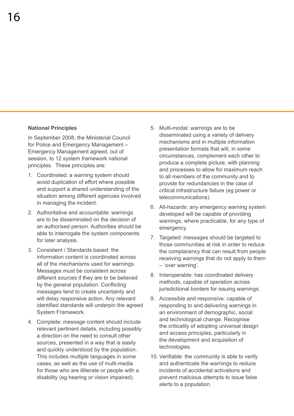#### **National Principles**

In September 2008, the Ministerial Council for Police and Emergency Management – Emergency Management agreed, out of session, to 12 system framework national principles. These principles are:

- 1. Coordinated: a warning system should avoid duplication of effort where possible and support a shared understanding of the situation among different agencies involved in managing the incident.
- 2. Authoritative and accountable: warnings are to be disseminated on the decision of an authorised person. Authorities should be able to interrogate the system components for later analysis.
- 3. Consistent / Standards based: the information content is coordinated across all of the mechanisms used for warnings. Messages must be consistent across different sources if they are to be believed by the general population. Conflicting messages tend to create uncertainty and will delay responsive action. Any relevant identified standards will underpin the agreed System Framework.
- 4. Complete: message content should include relevant pertinent details, including possibly a direction on the need to consult other sources, presented in a way that is easily and quickly understood by the population. This includes multiple languages in some cases, as well as the use of multi-media for those who are illiterate or people with a disability (eg hearing or vision impaired).
- 5. Multi-modal: warnings are to be disseminated using a variety of delivery mechanisms and in multiple information presentation formats that will, in some circumstances, complement each other to produce a complete picture, with planning and processes to allow for maximum reach to all members of the community and to provide for redundancies in the case of critical infrastructure failure (eg power or telecommunications).
- 6. All-hazards: any emergency warning system developed will be capable of providing warnings, where practicable, for any type of emergency.
- 7. Targeted: messages should be targeted to those communities at risk in order to reduce the complacency that can result from people receiving warnings that do not apply to them – 'over warning'.
- 8. Interoperable: has coordinated delivery methods, capable of operation across jurisdictional borders for issuing warnings.
- 9. Accessible and responsive: capable of responding to and delivering warnings in an environment of demographic, social and technological change. Recognise the criticality of adopting universal design and access principles, particularly in the development and acquisition of technologies.
- 10. Verifiable: the community is able to verify and authenticate the warnings to reduce incidents of accidental activations and prevent malicious attempts to issue false alerts to a population.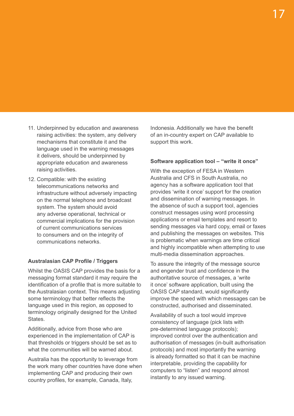- 11. Underpinned by education and awareness raising activities: the system, any delivery mechanisms that constitute it and the language used in the warning messages it delivers, should be underpinned by appropriate education and awareness raising activities.
- 12. Compatible: with the existing telecommunications networks and infrastructure without adversely impacting on the normal telephone and broadcast system. The system should avoid any adverse operational, technical or commercial implications for the provision of current communications services to consumers and on the integrity of communications networks.

#### **Australasian CAP Profile / Triggers**

Whilst the OASIS CAP provides the basis for a messaging format standard it may require the identification of a profile that is more suitable to the Australasian context. This means adjusting some terminology that better reflects the language used in this region, as opposed to terminology originally designed for the United **States** 

Additionally, advice from those who are experienced in the implementation of CAP is that thresholds or triggers should be set as to what the communities will be warned about.

Australia has the opportunity to leverage from the work many other countries have done when implementing CAP and producing their own country profiles, for example, Canada, Italy,

Indonesia. Additionally we have the benefit of an in-country expert on CAP available to support this work.

#### **Software application tool – "write it once"**

With the exception of FESA in Western Australia and CFS in South Australia, no agency has a software application tool that provides 'write it once' support for the creation and dissemination of warning messages. In the absence of such a support tool, agencies construct messages using word processing applications or email templates and resort to sending messages via hard copy, email or faxes and publishing the messages on websites. This is problematic when warnings are time critical and highly incompatible when attempting to use multi-media dissemination approaches.

To assure the integrity of the message source and engender trust and confidence in the authoritative source of messages, a 'write it once' software application, built using the OASIS CAP standard, would significantly improve the speed with which messages can be constructed, authorised and disseminated.

Availability of such a tool would improve consistency of language (pick lists with pre-determined language protocols); improved control over the authentication and authorisation of messages (in-built authorisation protocols) and most importantly the warning is already formatted so that it can be machine interpretable, providing the capability for computers to "listen" and respond almost instantly to any issued warning.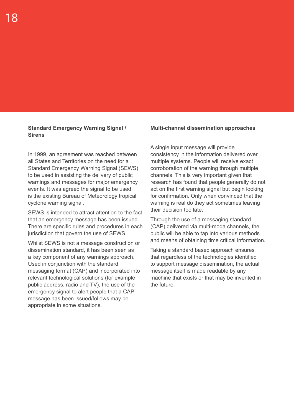#### **Standard Emergency Warning Signal / Sirens**

In 1999, an agreement was reached between all States and Territories on the need for a Standard Emergency Warning Signal (SEWS) to be used in assisting the delivery of public warnings and messages for major emergency events. It was agreed the signal to be used is the existing Bureau of Meteorology tropical cyclone warning signal.

SEWS is intended to attract attention to the fact that an emergency message has been issued. There are specific rules and procedures in each jurisdiction that govern the use of SEWS.

Whilst SEWS is not a message construction or dissemination standard, it has been seen as a key component of any warnings approach. Used in conjunction with the standard messaging format (CAP) and incorporated into relevant technological solutions (for example public address, radio and TV), the use of the emergency signal to alert people that a CAP message has been issued/follows may be appropriate in some situations.

#### **Multi-channel dissemination approaches**

A single input message will provide consistency in the information delivered over multiple systems. People will receive exact corroboration of the warning through multiple channels. This is very important given that research has found that people generally do not act on the first warning signal but begin looking for confirmation. Only when convinced that the warning is real do they act sometimes leaving their decision too late.

Through the use of a messaging standard (CAP) delivered via multi-moda channels, the public will be able to tap into various methods and means of obtaining time critical information.

Taking a standard based approach ensures that regardless of the technologies identified to support message dissemination, the actual message itself is made readable by any machine that exists or that may be invented in the future.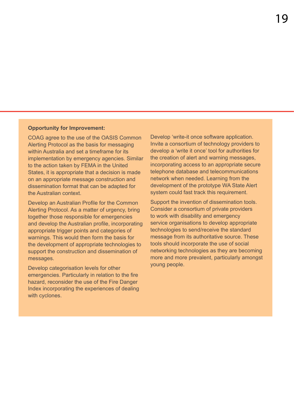#### **Opportunity for Improvement:**

COAG agree to the use of the OASIS Common Alerting Protocol as the basis for messaging within Australia and set a timeframe for its implementation by emergency agencies. Similar to the action taken by FEMA in the United States, it is appropriate that a decision is made on an appropriate message construction and dissemination format that can be adapted for the Australian context.

Develop an Australian Profile for the Common Alerting Protocol. As a matter of urgency, bring together those responsible for emergencies and develop the Australian profile, incorporating appropriate trigger points and categories of warnings. This would then form the basis for the development of appropriate technologies to support the construction and dissemination of messages.

Develop categorisation levels for other emergencies. Particularly in relation to the fire hazard, reconsider the use of the Fire Danger Index incorporating the experiences of dealing with cyclones.

Develop 'write-it once software application. Invite a consortium of technology providers to develop a 'write it once' tool for authorities for the creation of alert and warning messages, incorporating access to an appropriate secure telephone database and telecommunications network when needed. Learning from the development of the prototype WA State Alert system could fast track this requirement.

Support the invention of dissemination tools. Consider a consortium of private providers to work with disability and emergency service organisations to develop appropriate technologies to send/receive the standard message from its authoritative source. These tools should incorporate the use of social networking technologies as they are becoming more and more prevalent, particularly amongst young people.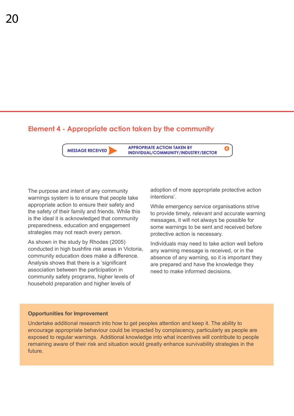### **Element 4 - Appropriate action taken by the community**

**MESSAGE RECEIVED** 

**APPROPRIATE ACTION TAKEN BY** INDIVIDUAL/COMMUNITY/INDUSTRY/SECTOR

The purpose and intent of any community warnings system is to ensure that people take appropriate action to ensure their safety and the safety of their family and friends. While this is the ideal it is acknowledged that community preparedness, education and engagement strategies may not reach every person.

As shown in the study by Rhodes (2005) conducted in high bushfire risk areas in Victoria, community education does make a difference. Analysis shows that there is a 'significant association between the participation in community safety programs, higher levels of household preparation and higher levels of

adoption of more appropriate protective action intentions'.

While emergency service organisations strive to provide timely, relevant and accurate warning messages, it will not always be possible for some warnings to be sent and received before protective action is necessary.

Individuals may need to take action well before any warning message is received, or in the absence of any warning, so it is important they are prepared and have the knowledge they need to make informed decisions.

### **Opportunities for Improvement**

Undertake additional research into how to get peoples attention and keep it. The ability to encourage appropriate behaviour could be impacted by complacency, particularly as people are exposed to regular warnings. Additional knowledge into what incentives will contribute to people remaining aware of their risk and situation would greatly enhance survivability strategies in the future.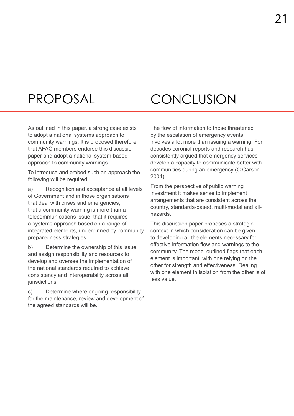### Proposal

# Conclusion

As outlined in this paper, a strong case exists to adopt a national systems approach to community warnings. It is proposed therefore that AFAC members endorse this discussion paper and adopt a national system based approach to community warnings.

To introduce and embed such an approach the following will be required:

a) Recognition and acceptance at all levels of Government and in those organisations that deal with crises and emergencies, that a community warning is more than a telecommunications issue; that it requires a systems approach based on a range of integrated elements, underpinned by community preparedness strategies.

b) Determine the ownership of this issue and assign responsibility and resources to develop and oversee the implementation of the national standards required to achieve consistency and interoperability across all jurisdictions.

c) Determine where ongoing responsibility for the maintenance, review and development of the agreed standards will be.

The flow of information to those threatened by the escalation of emergency events involves a lot more than issuing a warning. For decades coronial reports and research has consistently argued that emergency services develop a capacity to communicate better with communities during an emergency (C Carson 2004).

From the perspective of public warning investment it makes sense to implement arrangements that are consistent across the country, standards-based, multi-modal and allhazards.

This discussion paper proposes a strategic context in which consideration can be given to developing all the elements necessary for effective information flow and warnings to the community. The model outlined flags that each element is important, with one relying on the other for strength and effectiveness. Dealing with one element in isolation from the other is of less value.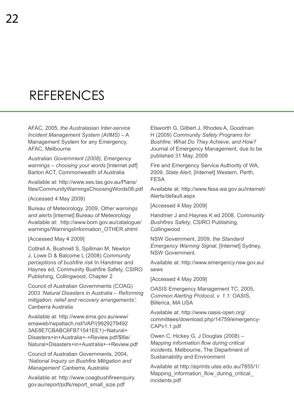## **REFERENCES**

AFAC, 2005, *the Australasian Inter-service Incident Management System (AIIMS)* – A Management System for any Emergency, AFAC, Melbourne

*Australian Government (2008), Emergency warnings – choosing your words* [Internet pdf] Barton ACT, Commonwealth of Australia

Available at: http://www.ses.tas.gov.au/Plans/ files/CommunityWarningsChoosingWords08.pdf

(Accessed 4 May 2009)

Bureau of Meteorology, 2009, *Other warnings and alerts* [internet] Bureau of Meteorology Available at: http://www.bom.gov.au/catalogue/ warnings/WarningsInformation\_OTHER.shtml

[Accessed May 4 2009]

Cottrell A, Bushnell S, Spillman M, Newton J, Lowe D & Balcome L (2008) *Community perceptions of bushfire risk* In Handmer and Haynes ed, Community Bushfire Safety, CSIRO Publishing, Collingwood, Chapter 2

Council of Australian Governments (COAG) 2003 *'Natural Disasters in Australia – Reforming mitigation, relief and recovery arrangements'*; Canberra Australia

Available at: http://www.ema.gov.au/www/ emaweb/rwpattach.nsf/VAP/(9929279492 3AE8E7CBABC6FB71541EE1)~Natural+ Disasters+in+Australia+-+Review.pdf/\$file/ Natural+Disasters+in+Australia+-+Review.pdf

Council of Australian Governments, 2004, *'National Inquiry on Bushfire Mitigation and Management*' Canberra, Australia

Available at: http://www.coagbushfireenquiry. gov.au/report/pdfs/report\_small\_size.pdf

Elsworth G, Gilbert J, Rhodes A, Goodman H (2009) *Community Safety Programs for Bushfire: What Do They Achieve, and How?* Journal of Emergency Management, due to be published 31 May, 2009

Fire and Emergency Service Authority of WA, 2009, *State Alert,* [Internet] Western, Perth, FESA

Available at: http://www.fesa.wa.gov.au/internet/ Alerts/default.aspx

[Accessed 4 May 2009]

Handmer J and Haynes K ed 2008, *Community Bushfires Safety*, CSIRO Publishing, **Collingwood** 

NSW Government, 2009, *the Standard Emergency Warning Signal,* [Internet] Sydney, NSW Government.

Available at: http://www.emergency.nsw.gov.au/ sews

[Accessed 4 May 2009]

OASIS Emergency Management TC, 2005, *Common Alerting Protocol, v. 1.1:* OASIS, Billerica, MA USA

Available at: http://www.oasis-open.org/ committees/download.php/14759/emergency-CAPv1.1.pdf

Owen C, Hickey G, J Douglas (2008) – *Mapping information flow during critical incidents*, Melbourne, The Department of Sustainability and Environment

Available at http://eprints.utas.edu.au/7855/1/ Mapping information flow during critical incidents.pdf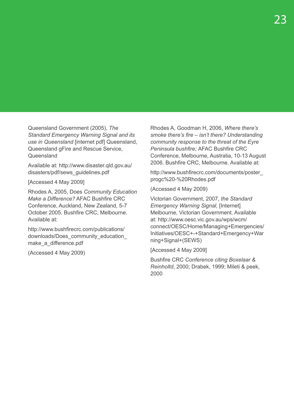Queensland Government (2005), *The Standard Emergency Warning Signal and its use in Queensland* [internet pdf] Queensland, Queensland gFire and Rescue Service, **Queensland** 

Available at: http://www.disaster.qld.gov.au/ disasters/pdf/sews\_guidelines.pdf

[Accessed 4 May 2009]

Rhodes A, 2005, Does *Community Education Make a Difference?* AFAC Bushfire CRC Conference, Auckland, New Zealand, 5-7 October 2005. Bushfire CRC, Melbourne. Available at:

http://www.bushfirecrc.com/publications/ downloads/Does\_community\_education make a difference.pdf

(Accessed 4 May 2009)

Rhodes A, Goodman H, 2006, *Where there's smoke there's fire – isn't there? Understanding community response to the threat of the Eyre Peninsula bushfire;* AFAC Bushfire CRC Conference, Melbourne, Australia, 10-13 August 2006. Bushfire CRC, Melbourne. Available at:

http://www.bushfirecrc.com/documents/poster\_ progc%20-%20Rhodes.pdf

(Accessed 4 May 2009)

Victorian Government, 2007, *the Standard Emergency Warning Signal,* [Internet] Melbourne, Victorian Government. Available at: http://www.oesc.vic.gov.au/wps/wcm/ connect/OESC/Home/Managing+Emergencies/ Initiatives/OESC+-+Standard+Emergency+War ning+Signal+(SEWS)

[Accessed 4 May 2009]

Bushfire CRC *Conference citing Boxelaar & Reinholtd*, 2000; Drabek, 1999; Mileti & peek, 2000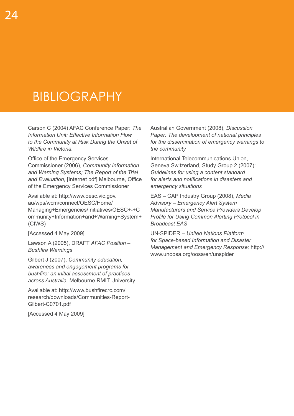## **BIBLIOGRAPHY**

Carson C (2004) AFAC Conference Paper: *The Information Unit: Effective Information Flow to the Community at Risk During the Onset of Wildfire in Victoria.*

Office of the Emergency Services Commissioner (2006), *Community Information and Warning Systems; The Report of the Trial and Evaluation,* [Internet pdf] Melbourne, Office of the Emergency Services Commissioner

Available at: http://www.oesc.vic.gov. au/wps/wcm/connect/OESC/Home/ Managing+Emergencies/Initiatives/OESC+-+C ommunity+Information+and+Warning+System+ (CIWS)

[Accessed 4 May 2009]

Lawson A (2005), DRAFT *AFAC Position – Bushfire Warnings* 

Gilbert J (2007), *Community education, awareness and engagement programs for bushfire: an initial assessment of practices across Australia,* Melbourne RMIT University

Available at: http://www.bushfirecrc.com/ research/downloads/Communities-Report-Gilbert-C0701.pdf

[Accessed 4 May 2009]

Australian Government (2008), *Discussion Paper: The development of national principles for the dissemination of emergency warnings to the community*

International Telecommunications Union, Geneva Switzerland, Study Group 2 (2007): *Guidelines for using a content standard for alerts and notifications in disasters and emergency situations*

EAS – CAP Industry Group (2008), *Media Advisory – Emergency Alert System Manufacturers and Service Providers Develop Profile for Using Common Alerting Protocol in Broadcast EAS*

UN-SPIDER – *United Nations Platform for Space-based Information and Disaster Management and Emergency Response;* http:// www.unoosa.org/oosa/en/unspider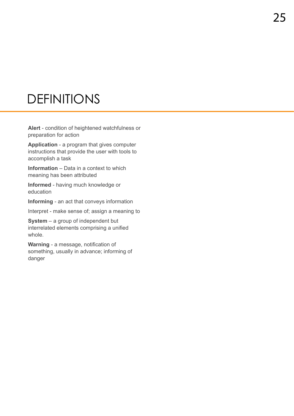## **DEFINITIONS**

**Alert** - condition of heightened watchfulness or preparation for action

**Application** - a program that gives computer instructions that provide the user with tools to accomplish a task

**Information** – Data in a context to which meaning has been attributed

**Informed** - having much knowledge or education

**Informing** - an act that conveys information

Interpret - make sense of; assign a meaning to

**System** – a group of independent but interrelated elements comprising a unified whole.

**Warning** - a message, notification of something, usually in advance; informing of danger